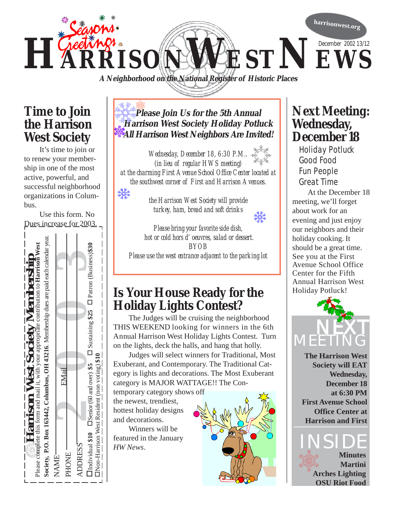

**A Neighborhood on the National Register of Historic Places**

#### **Time to Join the Harrison West Society**

It's time to join or to renew your membership in one of the most active, powerful, and successful neighborhood organizations in Columbus.

₩

Use this form. No Dues increase for 2003.



#### **Please Join Us for the 5th Annual Harrison West Society Holiday Potluck All Harrison West Neighbors Are Invited!**

*Wednesday, December 18, 6:30 P.M.. (in lieu of regular HWS meeting) at the charming First Avenue School Office Center located at the southwest corner of First and Harrison Avenues.*

> *the Harrison West Society will provide turkey, ham, bread and soft drinks*



*Please bring your favorite side dish, hot or cold hors d' oeuvres, salad or dessert. BYOB Please use the west entrance adjacent to the parking lot*

## **Is Your House Ready for the Holiday Lights Contest?**

The Judges will be cruising the neighborhood THIS WEEKEND looking for winners in the 6th Annual Harrison West Holiday Lights Contest. Turn on the lights, deck the halls, and hang that holly.

Judges will select winners for Traditional, Most Exuberant, and Contemporary. The Traditional Category is lights and decorations. The Most Exuberant category is MAJOR WATTAGE!! The Con-

temporary category shows off the newest, trendiest, hottest holiday designs and decorations.

Winners will be featured in the January *HW News*.



#### **Next Meeting: Wednesday, December 18**

 Holiday Potluck Good Food Fun People Great Time At the December 18 meeting, we'll forget about work for an evening and just enjoy our neighbors and their

holiday cooking. It should be a great time. See you at the First Avenue School Office Center for the Fifth Annual Harrison West Holiday Potluck!



**The Harrison West Society will EAT Wednesday, December 18 at 6:30 PM First Avenue School Office Center at Harrison and First**

#### **INSIDE Minutes Martini Arches Lighting OSU Riot Food**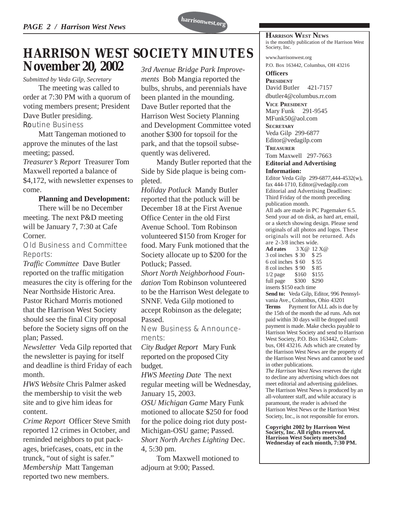

### **HARRISON WEST SOCIETY MINUTES November 20, 2002**

*Submitted by Veda Gilp, Secretary*

The meeting was called to order at 7:30 PM with a quorum of voting members present; President Dave Butler presiding. *Routine Business*

Matt Tangeman motioned to approve the minutes of the last meeting; passed.

*Treasurer's Report* Treasurer Tom Maxwell reported a balance of \$4,172, with newsletter expenses to come.

#### **Planning and Development:**

There will be no December meeting. The next P&D meeting will be January 7, 7:30 at Cafe Corner.

*Old Business and Committee Reports:*

*Traffic Committee* Dave Butler reported on the traffic mitigation measures the city is offering for the Near Northside Historic Area. Pastor Richard Morris motioned that the Harrison West Society should see the final City proposal before the Society signs off on the plan; Passed.

*Newsletter* Veda Gilp reported that the newsletter is paying for itself and deadline is third Friday of each month.

*HWS Website* Chris Palmer asked the membership to visit the web site and to give him ideas for content.

*Crime Report* Officer Steve Smith reported 12 crimes in October, and reminded neighbors to put packages, briefcases, coats, etc in the trunck, "out of sight is safer." *Membership* Matt Tangeman reported two new members.

*3rd Avenue Bridge Park Improvements* Bob Mangia reported the bulbs, shrubs, and perennials have been planted in the mounding. Dave Butler reported that the Harrison West Society Planning and Development Committee voted another \$300 for topsoil for the park, and that the topsoil subsequently was delivered.

Mandy Butler reported that the Side by Side plaque is being completed.

*Holiday Potluck* Mandy Butler reported that the potluck will be December 18 at the First Avenue Office Center in the old First Avenue School. Tom Robinson volunteered \$150 from Kroger for food. Mary Funk motioned that the Society allocate up to \$200 for the Potluck; Passed.

*Short North Neighborhood Foundation* Tom Robinson volunteered to be the Harrison West delegate to SNNF. Veda Gilp motioned to accept Robinson as the delegate; Passed.

*New Business & Announcements:*

*City Budget Report* Mary Funk reported on the proposed City budget.

*HWS Meeting Date* The next regular meeting will be Wednesday, January 15, 2003.

*OSU Michigan Game* Mary Funk motioned to allocate \$250 for food for the police doing riot duty post-Michigan-OSU game; Passed. *Short North Arches Lighting* Dec. 4, 5:30 pm.

Tom Maxwell motioned to adjourn at 9:00; Passed.

**HARRISON WEST NEWS** is the monthly publication of the Harrison West Society, Inc.

www.harrisonwest.org

P.O. Box 163442, Columbus, OH 43216

**Officers PDESIDENT** David Butler 421-7157

dbutler4@columbus.rr.com

**VICE PRESIDENT** Mary Funk 291-9545 MFunk50@aol.com

**SECRETARY** Veda Gilp 299-6877 Editor@vedagilp.com

**TREASURER**

#### Tom Maxwell 297-7663 **Editorial and Advertising Information:**

Editor Veda Gilp 299-6877,444-4532(w), fax 444-1710, Editor@vedagilp.com Editorial and Advertising Deadlines: Third Friday of the month preceding publication month.

All ads are made in PC Pagemaker 6.5. Send your ad on disk, as hard art, email, or a sketch showing design. Please send originals of all photos and logos. These originals will not be returned. Ads are 2-3/8 inches wide.

**Ad rates** 3 X@ 12 X@ 3 col inches \$ 30 \$ 25 6 col inches \$ 60 \$ 55 8 col inches \$ 90 \$ 85 1/2 page \$160 \$155 full page \$300 \$290 inserts \$150 each time

**Send to:** Veda Gilp, Editor, 996 Pennsylvania Ave., Columbus, Ohio 43201 **Terms** Payment for ALL ads is due by the 15th of the month the ad runs. Ads not paid within 30 days will be dropped until payment is made. Make checks payable to Harrison West Society and send to Harrison West Society, P.O. Box 163442, Columbus, OH 43216. Ads which are created by the Harrison West News are the property of the Harrison West News and cannot be used in other publications.

*The Harrison West News* reserves the right to decline any advertising which does not meet editorial and advertising guidelines. The Harrison West News is produced by an all-volunteer staff, and while accuracy is paramount, the reader is advised the Harrison West News or the Harrison West Society, Inc., is not responsible for errors.

**Copyright 2002 by Harrison West Society, Inc. All rights reserved. Harrison West Society meets3nd Wednesday of each month, 7:30 PM.**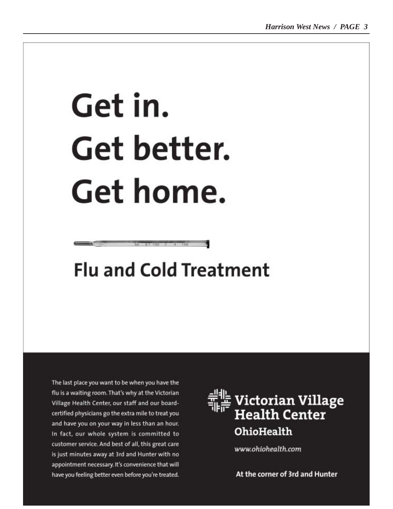# Get in. Get better. Get home.

# **Flu and Cold Treatment**

The last place you want to be when you have the flu is a waiting room. That's why at the Victorian Village Health Center, our staff and our boardcertified physicians go the extra mile to treat you and have you on your way in less than an hour. In fact, our whole system is committed to customer service. And best of all, this great care is just minutes away at 3rd and Hunter with no appointment necessary. It's convenience that will have you feeling better even before you're treated.



www.ohiohealth.com

At the corner of 3rd and Hunter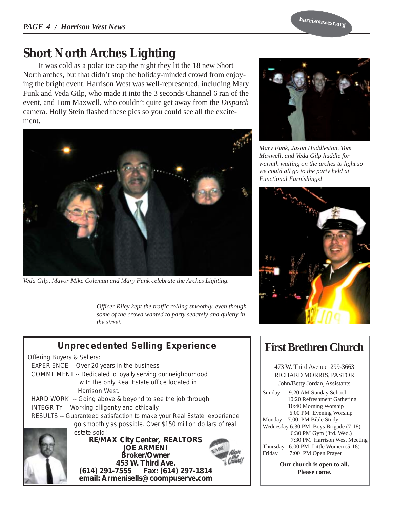**harrisonwest.org**

## **Short North Arches Lighting**

It was cold as a polar ice cap the night they lit the 18 new Short North arches, but that didn't stop the holiday-minded crowd from enjoying the bright event. Harrison West was well-represented, including Mary Funk and Veda Gilp, who made it into the 3 seconds Channel 6 ran of the event, and Tom Maxwell, who couldn't quite get away from the *Dispatch* camera. Holly Stein flashed these pics so you could see all the excitement.



*Veda Gilp, Mayor Mike Coleman and Mary Funk celebrate the Arches Lighting.*

*Officer Riley kept the traffic rolling smoothly, even though some of the crowd wanted to party sedately and quietly in the street.*



## *Unprecedented Selling Experience*

*Offering Buyers & Sellers: EXPERIENCE -- Over 20 years in the business COMMITMENT -- Dedicated to loyally serving our neighborhood with the only Real Estate office located in Harrison West.*

 *HARD WORK -- Going above & beyond to see the job through INTEGRITY -- Working diligently and ethically RESULTS -- Guaranteed satisfaction to make your Real Estate experience go smoothly as possible. Over \$150 million dollars of real*



**RE/MAX City Center, REALTORS JOE ARMENI Broker/Owner** .453 W. Third Ave<br>**614) 291-7555** Fax: (614) *estate sold!*

**(614) 291-7555 Fax: (614) 297-1814 email: Armenisells@coompuserve.com**



*Mary Funk, Jason Huddleston, Tom Maxwell, and Veda Gilp huddle for warmth waiting on the arches to light so we could all go to the party held at Functional Furnishings!*



#### **First Brethren Church**

473 W. Third Avenue 299-3663 RICHARD MORRIS, PASTOR John/Betty Jordan, Assistants

Sunday 9:20 AM Sunday School 10:20 Refreshment Gathering 10:40 Morning Worship 6:00 PM Evening Worship Monday 7:00 PM Bible Study Wednesday 6:30 PM Boys Brigade (7-18) 6:30 PM Gym (3rd. Wed.) 7:30 PM Harrison West Meeting Thursday 6:00 PM Little Women (5-18) Friday 7:00 PM Open Prayer

> **Our church is open to all. Please come.**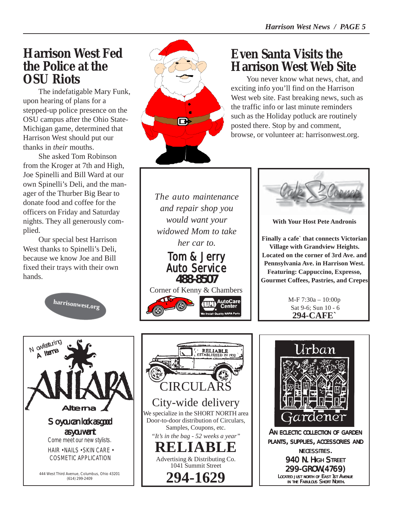## **Harrison West Fed the Police at the OSU Riots**

The indefatigable Mary Funk, upon hearing of plans for a stepped-up police presence on the OSU campus after the Ohio State-Michigan game, determined that Harrison West should put our thanks in *their* mouths.

She asked Tom Robinson from the Kroger at 7th and High, Joe Spinelli and Bill Ward at our own Spinelli's Deli, and the manager of the Thurber Big Bear to donate food and coffee for the officers on Friday and Saturday nights. They all generously complied.

Our special best Harrison West thanks to Spinelli's Deli, because we know Joe and Bill fixed their trays with their own hands.





## **Even Santa Visits the Harrison West Web Site**

You never know what news, chat, and exciting info you'll find on the Harrison West web site. Fast breaking news, such as the traffic info or last minute reminders such as the Holiday potluck are routinely posted there. Stop by and comment, browse, or volunteer at: harrisonwest.org.

*The auto maintenance and repair shop you would want your widowed Mom to take her car to.*



Corner of Kenny & Chambers





**With Your Host Pete Andronis**

**Finally a cafe` that connects Victorian Village with Grandview Heights. Located on the corner of 3rd Ave. and Pennsylvania Ave. in Harrison West. Featuring: Cappuccino, Expresso, Gourmet Coffees, Pastries, and Crepes**

> M-F 7:30a – 10:00p Sat 9-6; Sun 10 - 6 **294-CAFE`**







*299-GROW(4769) OW(4769) LOCATED JUST NORTH OF EAST 1ST AVENUE IN THE FABULOUS SHORT NORTH.*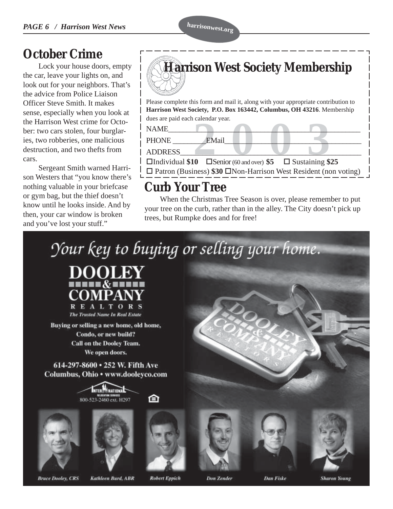## **October Crime**

Lock your house doors, empty the car, leave your lights on, and look out for your neighbors. That's the advice from Police Liaison Officer Steve Smith. It makes sense, especially when you look at the Harrison West crime for October: two cars stolen, four burglaries, two robberies, one malicious destruction, and two thefts from cars.

Sergeant Smith warned Harrison Westers that "you know there's nothing valuable in your briefcase or gym bag, but the thief doesn't know until he looks inside. And by then, your car window is broken and you've lost your stuff."

#### EMail<br> **2003**<br> **2004**<br> **2005**<br> **2005**<br> **2005**<br> **2006**<br> **2006**<br> **2006**<br> **2006**<br> **2006**<br> **2006**<br> **2006**<br> **2006** Please complete this form and mail it, along with your appropriate contribution to **Harrison West Society, P.O. Box 163442, Columbus, OH 43216**. Membership dues are paid each calendar year.  $NAME$   $\qquad \qquad$ PHONE EMail ADDRESS\_\_\_\_\_\_\_\_\_\_\_\_\_\_\_\_\_\_\_\_\_\_\_\_\_\_\_\_\_\_\_\_\_\_\_\_\_\_\_\_\_\_\_\_\_\_\_\_\_ !Individual **\$10** !Senior (60 and over) **\$5** ! Sustaining **\$25 Harrison West Society Membership**

□ Patron (Business) **\$30** □ Non-Harrison West Resident (non voting)

## **Curb Your Tree**

When the Christmas Tree Season is over, please remember to put your tree on the curb, rather than in the alley. The City doesn't pick up trees, but Rumpke does and for free!

Your key to buying or selling your home.



Buying or selling a new home, old home, Condo, or new build? **Call on the Dooley Team.** We open doors.

614-297-8600 · 252 W. Fifth Ave Columbus, Ohio • www.dooleyco.com









的

![](_page_5_Picture_17.jpeg)

![](_page_5_Picture_18.jpeg)

![](_page_5_Picture_19.jpeg)

**Bruce Dooley, CRS** 

**Kathleen Burd, ABR** 

**Robert Eppich** 

**Don Zender** 

**Dan Fiske** 

**Sharon Young**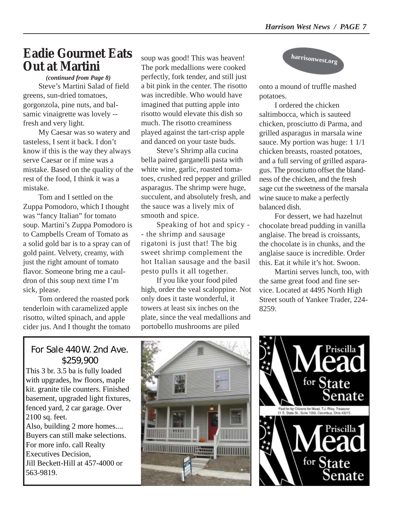#### **Eadie Gourmet Eats Out at Martini**

*(continued from Page 8)* Steve's Martini Salad of field greens, sun-dried tomatoes, gorgonzola, pine nuts, and balsamic vinaigrette was lovely - fresh and very light.

My Caesar was so watery and tasteless, I sent it back. I don't know if this is the way they always serve Caesar or if mine was a mistake. Based on the quality of the rest of the food, I think it was a mistake.

Tom and I settled on the Zuppa Pomodoro, which I thought was "fancy Italian" for tomato soup. Martini's Zuppa Pomodoro is to Campbells Cream of Tomato as a solid gold bar is to a spray can of gold paint. Velvety, creamy, with just the right amount of tomato flavor. Someone bring me a cauldron of this soup next time I'm sick, please.

Tom ordered the roasted pork tenderloin with caramelized apple risotto, wilted spinach, and apple cider jus. And I thought the tomato soup was good! This was heaven! The pork medallions were cooked perfectly, fork tender, and still just a bit pink in the center. The risotto was incredible. Who would have imagined that putting apple into risotto would elevate this dish so much. The risotto creaminess played against the tart-crisp apple and danced on your taste buds.

Steve's Shrimp alla cucina bella paired garganelli pasta with white wine, garlic, roasted tomatoes, crushed red pepper and grilled asparagus. The shrimp were huge, succulent, and absolutely fresh, and the sauce was a lively mix of smooth and spice.

Speaking of hot and spicy - - the shrimp and sausage rigatoni is just that! The big sweet shrimp complement the hot Italian sausage and the basil pesto pulls it all together.

If you like your food piled high, order the veal scaloppine. Not only does it taste wonderful, it towers at least six inches on the plate, since the veal medallions and portobello mushrooms are piled

![](_page_6_Picture_10.jpeg)

onto a mound of truffle mashed potatoes.

I ordered the chicken saltimbocca, which is sauteed chicken, prosciutto di Parma, and grilled asparagus in marsala wine sauce. My portion was huge: 1 1/1 chicken breasts, roasted potatoes, and a full serving of grilled asparagus. The prosciutto offset the blandness of the chicken, and the fresh sage cut the sweetness of the marsala wine sauce to make a perfectly balanced dish.

For dessert, we had hazelnut chocolate bread pudding in vanilla anglaise. The bread is croissants, the chocolate is in chunks, and the anglaise sauce is incredible. Order this. Eat it while it's hot. Swoon.

Martini serves lunch, too, with the same great food and fine service. Located at 4495 North High Street south of Yankee Trader, 224- 8259.

#### For Sale 440 W. 2nd Ave. \$259,900

This 3 br. 3.5 ba is fully loaded with upgrades, hw floors, maple kit. granite tile counters. Finished basement, upgraded light fixtures, fenced yard, 2 car garage. Over 2100 sq. feet. Also, building 2 more homes.... Buyers can still make selections. For more info. call Realty Executives Decision, Jill Beckett-Hill at 457-4000 or 563-9819.

![](_page_6_Picture_17.jpeg)

![](_page_6_Picture_18.jpeg)